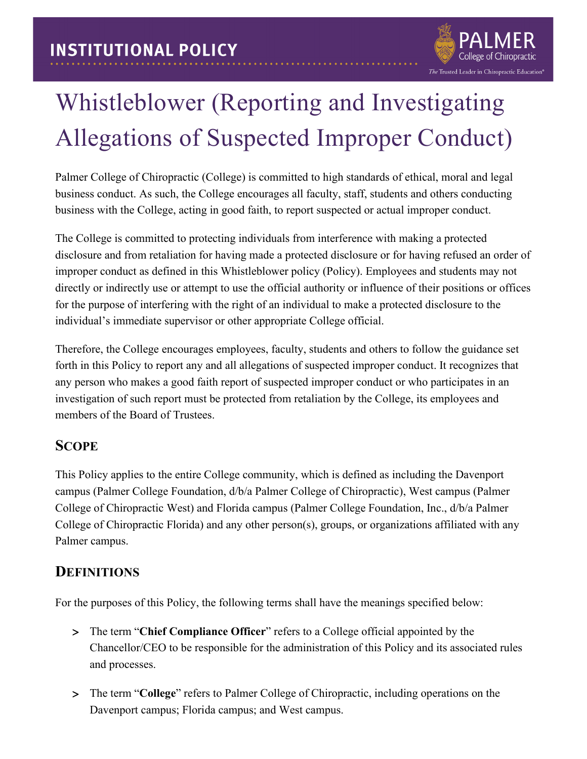

# Whistleblower (Reporting and Investigating Allegations of Suspected Improper Conduct)

Palmer College of Chiropractic (College) is committed to high standards of ethical, moral and legal business conduct. As such, the College encourages all faculty, staff, students and others conducting business with the College, acting in good faith, to report suspected or actual improper conduct.

The College is committed to protecting individuals from interference with making a protected disclosure and from retaliation for having made a protected disclosure or for having refused an order of improper conduct as defined in this Whistleblower policy (Policy). Employees and students may not directly or indirectly use or attempt to use the official authority or influence of their positions or offices for the purpose of interfering with the right of an individual to make a protected disclosure to the individual's immediate supervisor or other appropriate College official.

Therefore, the College encourages employees, faculty, students and others to follow the guidance set forth in this Policy to report any and all allegations of suspected improper conduct. It recognizes that any person who makes a good faith report of suspected improper conduct or who participates in an investigation of such report must be protected from retaliation by the College, its employees and members of the Board of Trustees.

## **SCOPE**

This Policy applies to the entire College community, which is defined as including the Davenport campus (Palmer College Foundation, d/b/a Palmer College of Chiropractic), West campus (Palmer College of Chiropractic West) and Florida campus (Palmer College Foundation, Inc., d/b/a Palmer College of Chiropractic Florida) and any other person(s), groups, or organizations affiliated with any Palmer campus.

## **DEFINITIONS**

For the purposes of this Policy, the following terms shall have the meanings specified below:

- > The term "Chief Compliance Officer" refers to a College official appointed by the Chancellor/CEO to be responsible for the administration of this Policy and its associated rules and processes.
- > The term "**College**" refers to Palmer College of Chiropractic, including operations on the Davenport campus; Florida campus; and West campus.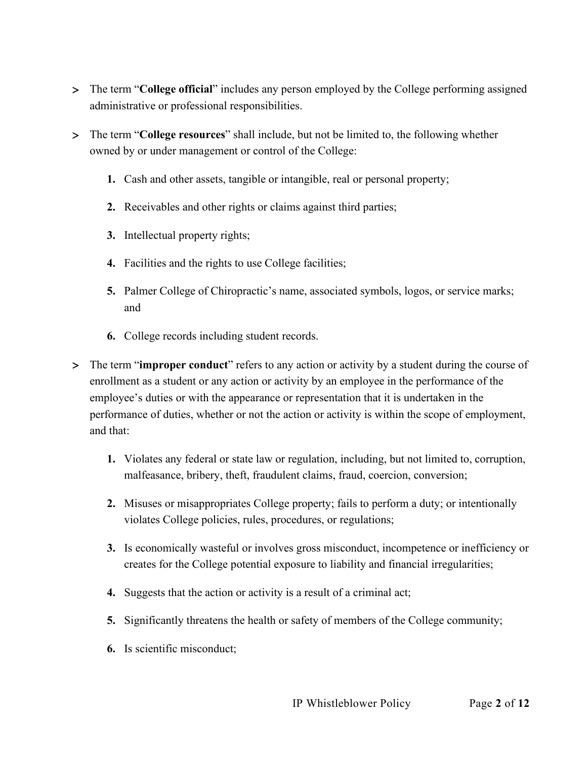- > The term "**College official**" includes any person employed by the College performing assigned administrative or professional responsibilities.
- > The term "**College resources**" shall include, but not be limited to, the following whether owned by or under management or control of the College:
	- **1.** Cash and other assets, tangible or intangible, real or personal property;
	- **2.** Receivables and other rights or claims against third parties;
	- **3.** Intellectual property rights;
	- **4.** Facilities and the rights to use College facilities;
	- **5.** Palmer College of Chiropractic's name, associated symbols, logos, or service marks; and
	- **6.** College records including student records.
- > The term "**improper conduct**" refers to any action or activity by a student during the course of enrollment as a student or any action or activity by an employee in the performance of the employee's duties or with the appearance or representation that it is undertaken in the performance of duties, whether or not the action or activity is within the scope of employment, and that:
	- **1.** Violates any federal or state law or regulation, including, but not limited to, corruption, malfeasance, bribery, theft, fraudulent claims, fraud, coercion, conversion;
	- **2.** Misuses or misappropriates College property; fails to perform a duty; or intentionally violates College policies, rules, procedures, or regulations;
	- **3.** Is economically wasteful or involves gross misconduct, incompetence or inefficiency or creates for the College potential exposure to liability and financial irregularities;
	- **4.** Suggests that the action or activity is a result of a criminal act;
	- **5.** Significantly threatens the health or safety of members of the College community;
	- **6.** Is scientific misconduct;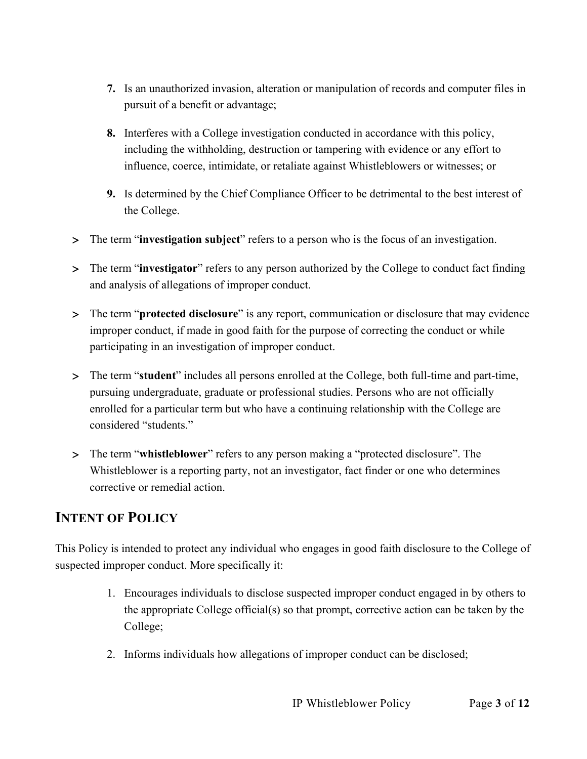- **7.** Is an unauthorized invasion, alteration or manipulation of records and computer files in pursuit of a benefit or advantage;
- **8.** Interferes with a College investigation conducted in accordance with this policy, including the withholding, destruction or tampering with evidence or any effort to influence, coerce, intimidate, or retaliate against Whistleblowers or witnesses; or
- **9.** Is determined by the Chief Compliance Officer to be detrimental to the best interest of the College.
- > The term "**investigation subject**" refers to a person who is the focus of an investigation.
- > The term "**investigator**" refers to any person authorized by the College to conduct fact finding and analysis of allegations of improper conduct.
- > The term "**protected disclosure**" is any report, communication or disclosure that may evidence improper conduct, if made in good faith for the purpose of correcting the conduct or while participating in an investigation of improper conduct.
- > The term "**student**" includes all persons enrolled at the College, both full-time and part-time, pursuing undergraduate, graduate or professional studies. Persons who are not officially enrolled for a particular term but who have a continuing relationship with the College are considered "students."
- > The term "**whistleblower**" refers to any person making a "protected disclosure". The Whistleblower is a reporting party, not an investigator, fact finder or one who determines corrective or remedial action.

## **INTENT OF POLICY**

This Policy is intended to protect any individual who engages in good faith disclosure to the College of suspected improper conduct. More specifically it:

- 1. Encourages individuals to disclose suspected improper conduct engaged in by others to the appropriate College official(s) so that prompt, corrective action can be taken by the College;
- 2. Informs individuals how allegations of improper conduct can be disclosed;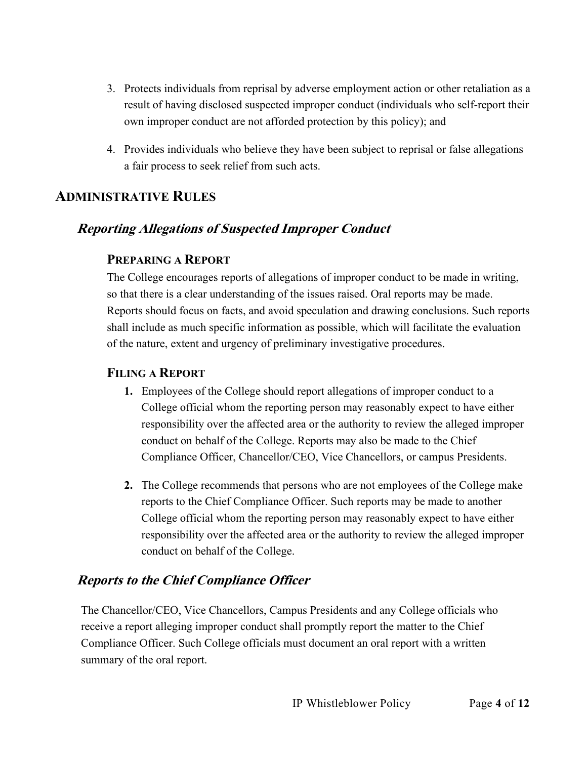- 3. Protects individuals from reprisal by adverse employment action or other retaliation as a result of having disclosed suspected improper conduct (individuals who self-report their own improper conduct are not afforded protection by this policy); and
- 4. Provides individuals who believe they have been subject to reprisal or false allegations a fair process to seek relief from such acts.

#### **ADMINISTRATIVE RULES**

## **Reporting Allegations of Suspected Improper Conduct**

#### **PREPARING A REPORT**

The College encourages reports of allegations of improper conduct to be made in writing, so that there is a clear understanding of the issues raised. Oral reports may be made. Reports should focus on facts, and avoid speculation and drawing conclusions. Such reports shall include as much specific information as possible, which will facilitate the evaluation of the nature, extent and urgency of preliminary investigative procedures.

#### **FILING A REPORT**

- **1.** Employees of the College should report allegations of improper conduct to a College official whom the reporting person may reasonably expect to have either responsibility over the affected area or the authority to review the alleged improper conduct on behalf of the College. Reports may also be made to the Chief Compliance Officer, Chancellor/CEO, Vice Chancellors, or campus Presidents.
- **2.** The College recommends that persons who are not employees of the College make reports to the Chief Compliance Officer. Such reports may be made to another College official whom the reporting person may reasonably expect to have either responsibility over the affected area or the authority to review the alleged improper conduct on behalf of the College.

#### **Reports to the Chief Compliance Officer**

The Chancellor/CEO, Vice Chancellors, Campus Presidents and any College officials who receive a report alleging improper conduct shall promptly report the matter to the Chief Compliance Officer. Such College officials must document an oral report with a written summary of the oral report.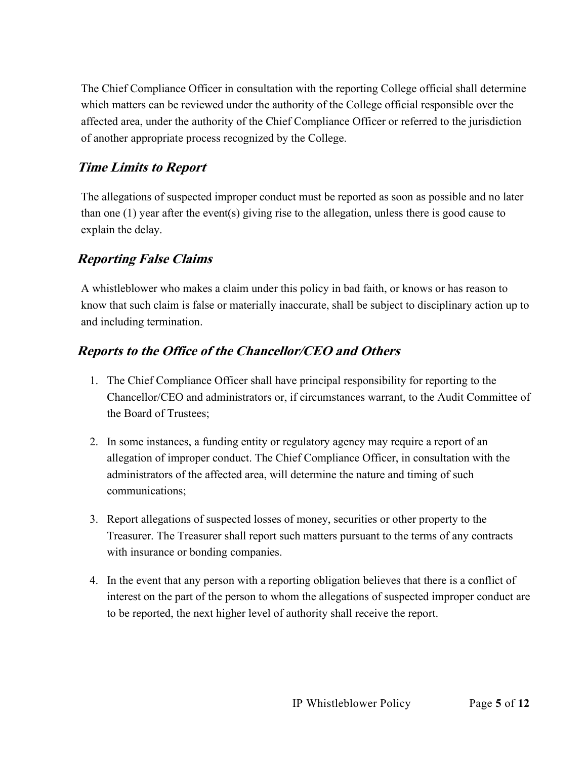The Chief Compliance Officer in consultation with the reporting College official shall determine which matters can be reviewed under the authority of the College official responsible over the affected area, under the authority of the Chief Compliance Officer or referred to the jurisdiction of another appropriate process recognized by the College.

## **Time Limits to Report**

The allegations of suspected improper conduct must be reported as soon as possible and no later than one (1) year after the event(s) giving rise to the allegation, unless there is good cause to explain the delay.

## **Reporting False Claims**

A whistleblower who makes a claim under this policy in bad faith, or knows or has reason to know that such claim is false or materially inaccurate, shall be subject to disciplinary action up to and including termination.

## **Reports to the Office of the Chancellor/CEO and Others**

- 1. The Chief Compliance Officer shall have principal responsibility for reporting to the Chancellor/CEO and administrators or, if circumstances warrant, to the Audit Committee of the Board of Trustees;
- 2. In some instances, a funding entity or regulatory agency may require a report of an allegation of improper conduct. The Chief Compliance Officer, in consultation with the administrators of the affected area, will determine the nature and timing of such communications;
- 3. Report allegations of suspected losses of money, securities or other property to the Treasurer. The Treasurer shall report such matters pursuant to the terms of any contracts with insurance or bonding companies.
- 4. In the event that any person with a reporting obligation believes that there is a conflict of interest on the part of the person to whom the allegations of suspected improper conduct are to be reported, the next higher level of authority shall receive the report.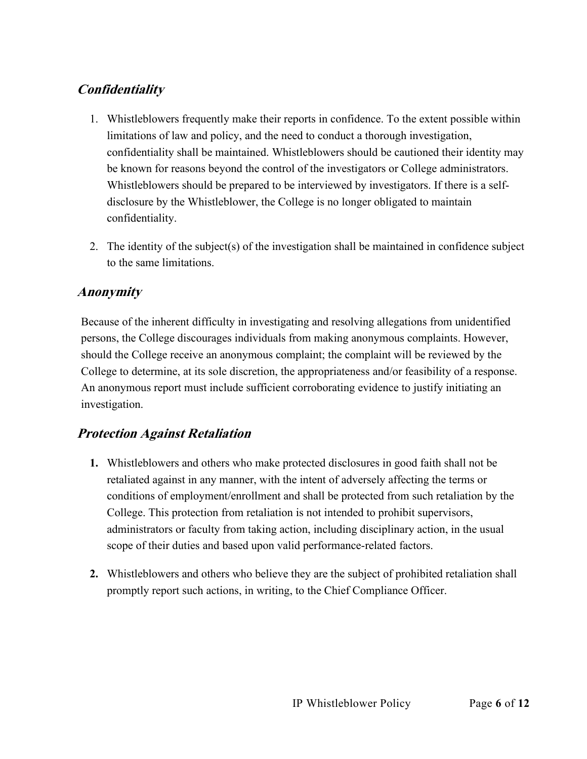## **Confidentiality**

- 1. Whistleblowers frequently make their reports in confidence. To the extent possible within limitations of law and policy, and the need to conduct a thorough investigation, confidentiality shall be maintained. Whistleblowers should be cautioned their identity may be known for reasons beyond the control of the investigators or College administrators. Whistleblowers should be prepared to be interviewed by investigators. If there is a selfdisclosure by the Whistleblower, the College is no longer obligated to maintain confidentiality.
- 2. The identity of the subject(s) of the investigation shall be maintained in confidence subject to the same limitations.

## **Anonymity**

Because of the inherent difficulty in investigating and resolving allegations from unidentified persons, the College discourages individuals from making anonymous complaints. However, should the College receive an anonymous complaint; the complaint will be reviewed by the College to determine, at its sole discretion, the appropriateness and/or feasibility of a response. An anonymous report must include sufficient corroborating evidence to justify initiating an investigation.

## **Protection Against Retaliation**

- **1.** Whistleblowers and others who make protected disclosures in good faith shall not be retaliated against in any manner, with the intent of adversely affecting the terms or conditions of employment/enrollment and shall be protected from such retaliation by the College. This protection from retaliation is not intended to prohibit supervisors, administrators or faculty from taking action, including disciplinary action, in the usual scope of their duties and based upon valid performance-related factors.
- **2.** Whistleblowers and others who believe they are the subject of prohibited retaliation shall promptly report such actions, in writing, to the Chief Compliance Officer.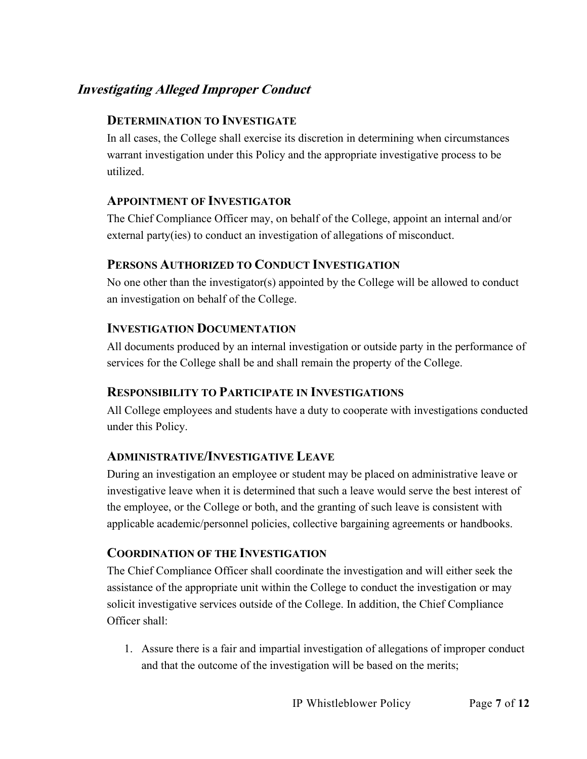## **Investigating Alleged Improper Conduct**

#### **DETERMINATION TO INVESTIGATE**

In all cases, the College shall exercise its discretion in determining when circumstances warrant investigation under this Policy and the appropriate investigative process to be utilized.

#### **APPOINTMENT OF INVESTIGATOR**

The Chief Compliance Officer may, on behalf of the College, appoint an internal and/or external party(ies) to conduct an investigation of allegations of misconduct.

#### **PERSONS AUTHORIZED TO CONDUCT INVESTIGATION**

No one other than the investigator(s) appointed by the College will be allowed to conduct an investigation on behalf of the College.

#### **INVESTIGATION DOCUMENTATION**

All documents produced by an internal investigation or outside party in the performance of services for the College shall be and shall remain the property of the College.

#### **RESPONSIBILITY TO PARTICIPATE IN INVESTIGATIONS**

All College employees and students have a duty to cooperate with investigations conducted under this Policy.

#### **ADMINISTRATIVE/INVESTIGATIVE LEAVE**

During an investigation an employee or student may be placed on administrative leave or investigative leave when it is determined that such a leave would serve the best interest of the employee, or the College or both, and the granting of such leave is consistent with applicable academic/personnel policies, collective bargaining agreements or handbooks.

#### **COORDINATION OF THE INVESTIGATION**

The Chief Compliance Officer shall coordinate the investigation and will either seek the assistance of the appropriate unit within the College to conduct the investigation or may solicit investigative services outside of the College. In addition, the Chief Compliance Officer shall:

1. Assure there is a fair and impartial investigation of allegations of improper conduct and that the outcome of the investigation will be based on the merits;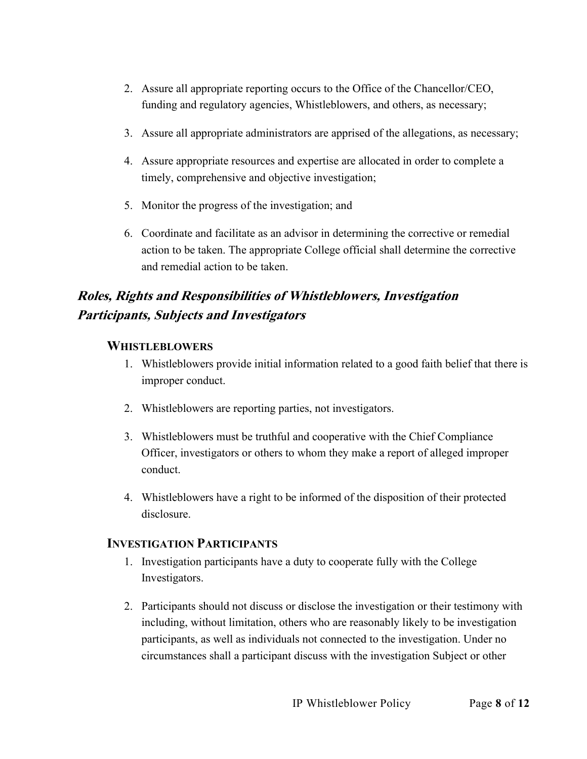- 2. Assure all appropriate reporting occurs to the Office of the Chancellor/CEO, funding and regulatory agencies, Whistleblowers, and others, as necessary;
- 3. Assure all appropriate administrators are apprised of the allegations, as necessary;
- 4. Assure appropriate resources and expertise are allocated in order to complete a timely, comprehensive and objective investigation;
- 5. Monitor the progress of the investigation; and
- 6. Coordinate and facilitate as an advisor in determining the corrective or remedial action to be taken. The appropriate College official shall determine the corrective and remedial action to be taken.

## **Roles, Rights and Responsibilities of Whistleblowers, Investigation Participants, Subjects and Investigators**

#### **WHISTLEBLOWERS**

- 1. Whistleblowers provide initial information related to a good faith belief that there is improper conduct.
- 2. Whistleblowers are reporting parties, not investigators.
- 3. Whistleblowers must be truthful and cooperative with the Chief Compliance Officer, investigators or others to whom they make a report of alleged improper conduct.
- 4. Whistleblowers have a right to be informed of the disposition of their protected disclosure.

#### **INVESTIGATION PARTICIPANTS**

- 1. Investigation participants have a duty to cooperate fully with the College Investigators.
- 2. Participants should not discuss or disclose the investigation or their testimony with including, without limitation, others who are reasonably likely to be investigation participants, as well as individuals not connected to the investigation. Under no circumstances shall a participant discuss with the investigation Subject or other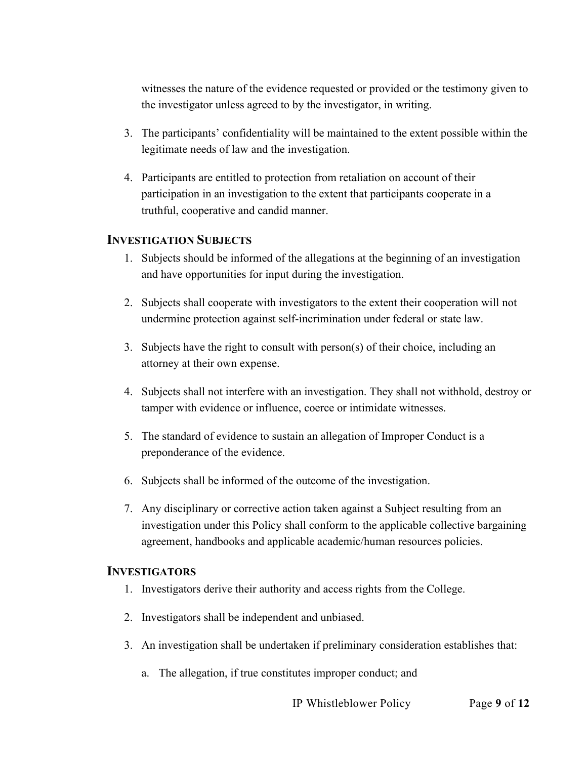witnesses the nature of the evidence requested or provided or the testimony given to the investigator unless agreed to by the investigator, in writing.

- 3. The participants' confidentiality will be maintained to the extent possible within the legitimate needs of law and the investigation.
- 4. Participants are entitled to protection from retaliation on account of their participation in an investigation to the extent that participants cooperate in a truthful, cooperative and candid manner.

#### **INVESTIGATION SUBJECTS**

- 1. Subjects should be informed of the allegations at the beginning of an investigation and have opportunities for input during the investigation.
- 2. Subjects shall cooperate with investigators to the extent their cooperation will not undermine protection against self-incrimination under federal or state law.
- 3. Subjects have the right to consult with person(s) of their choice, including an attorney at their own expense.
- 4. Subjects shall not interfere with an investigation. They shall not withhold, destroy or tamper with evidence or influence, coerce or intimidate witnesses.
- 5. The standard of evidence to sustain an allegation of Improper Conduct is a preponderance of the evidence.
- 6. Subjects shall be informed of the outcome of the investigation.
- 7. Any disciplinary or corrective action taken against a Subject resulting from an investigation under this Policy shall conform to the applicable collective bargaining agreement, handbooks and applicable academic/human resources policies.

#### **INVESTIGATORS**

- 1. Investigators derive their authority and access rights from the College.
- 2. Investigators shall be independent and unbiased.
- 3. An investigation shall be undertaken if preliminary consideration establishes that:
	- a. The allegation, if true constitutes improper conduct; and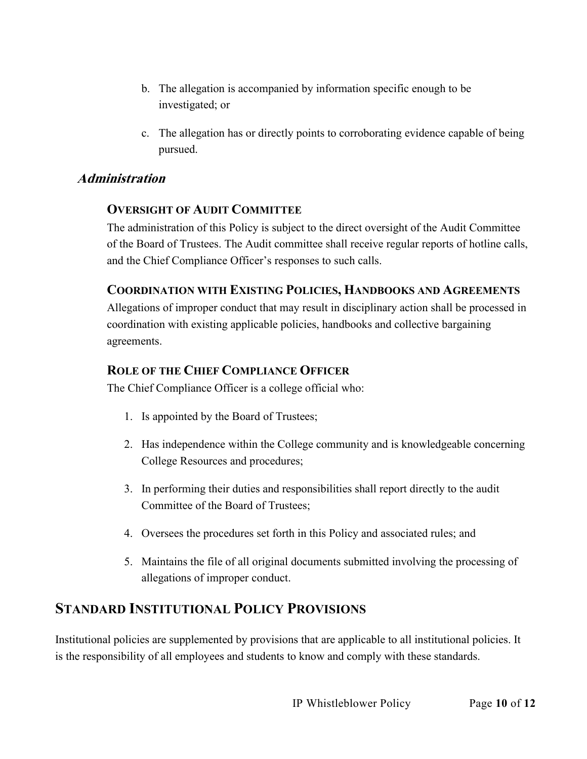- b. The allegation is accompanied by information specific enough to be investigated; or
- c. The allegation has or directly points to corroborating evidence capable of being pursued.

#### **Administration**

#### **OVERSIGHT OF AUDIT COMMITTEE**

The administration of this Policy is subject to the direct oversight of the Audit Committee of the Board of Trustees. The Audit committee shall receive regular reports of hotline calls, and the Chief Compliance Officer's responses to such calls.

#### **COORDINATION WITH EXISTING POLICIES, HANDBOOKS AND AGREEMENTS**

Allegations of improper conduct that may result in disciplinary action shall be processed in coordination with existing applicable policies, handbooks and collective bargaining agreements.

#### **ROLE OF THE CHIEF COMPLIANCE OFFICER**

The Chief Compliance Officer is a college official who:

- 1. Is appointed by the Board of Trustees;
- 2. Has independence within the College community and is knowledgeable concerning College Resources and procedures;
- 3. In performing their duties and responsibilities shall report directly to the audit Committee of the Board of Trustees;
- 4. Oversees the procedures set forth in this Policy and associated rules; and
- 5. Maintains the file of all original documents submitted involving the processing of allegations of improper conduct.

## **STANDARD INSTITUTIONAL POLICY PROVISIONS**

Institutional policies are supplemented by provisions that are applicable to all institutional policies. It is the responsibility of all employees and students to know and comply with these standards.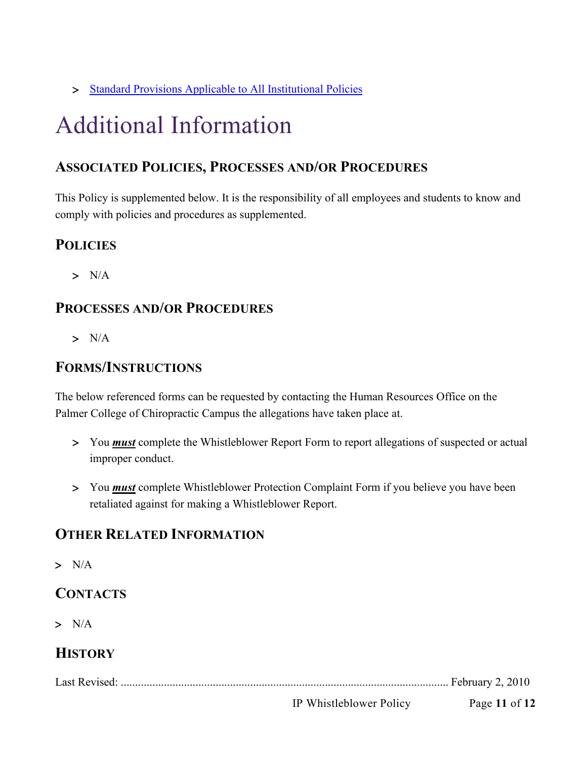> [Standard Provisions Applicable to All Institutional Policies](https://www.palmer.edu/getmedia/7a1240f1-0fb4-41e4-b543-50defa3da2a0/standard-provisions-applicable-to-all-institutional-policies.pdf)

## Additional Information

## **ASSOCIATED POLICIES, PROCESSES AND/OR PROCEDURES**

This Policy is supplemented below. It is the responsibility of all employees and students to know and comply with policies and procedures as supplemented.

## **POLICIES**

 $> N/A$ 

## **PROCESSES AND/OR PROCEDURES**

 $> N/A$ 

## **FORMS/INSTRUCTIONS**

The below referenced forms can be requested by contacting the Human Resources Office on the Palmer College of Chiropractic Campus the allegations have taken place at.

- > You *must* complete the Whistleblower Report Form to report allegations of suspected or actual improper conduct.
- > You *must* complete Whistleblower Protection Complaint Form if you believe you have been retaliated against for making a Whistleblower Report.

## **OTHER RELATED INFORMATION**

 $> N/A$ 

## **CONTACTS**

 $> N/A$ 

## **HISTORY**

Last Revised: .................................................................................................................. February 2, 2010